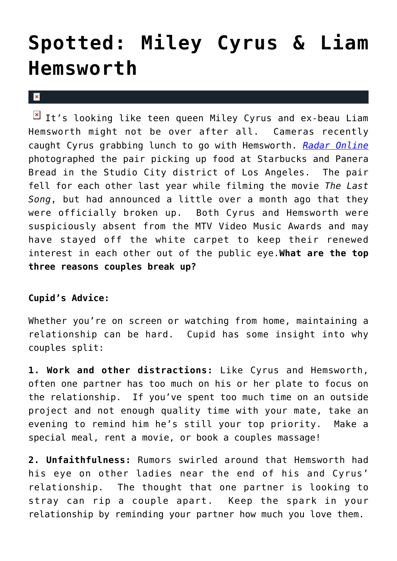## **[Spotted: Miley Cyrus & Liam](https://cupidspulse.com/4388/spotted-miley-cyrus-liam-hemsworth/) [Hemsworth](https://cupidspulse.com/4388/spotted-miley-cyrus-liam-hemsworth/)**

 $\mathbf x$ 

It's looking like teen queen Miley Cyrus and ex-beau Liam Hemsworth might not be over after all. Cameras recently caught Cyrus grabbing lunch to go with Hemsworth. *[Radar Online](http://www.radaronline.com/exclusives/2010/09/photos-miley-cyrus-liam-hemsworth-are-back)* photographed the pair picking up food at Starbucks and Panera Bread in the Studio City district of Los Angeles. The pair fell for each other last year while filming the movie *The Last Song*, but had announced a little over a month ago that they were officially broken up. Both Cyrus and Hemsworth were suspiciously absent from the MTV Video Music Awards and may have stayed off the white carpet to keep their renewed interest in each other out of the public eye.**What are the top three reasons couples break up?**

## **Cupid's Advice:**

Whether you're on screen or watching from home, maintaining a relationship can be hard. Cupid has some insight into why couples split:

**1. Work and other distractions:** Like Cyrus and Hemsworth, often one partner has too much on his or her plate to focus on the relationship. If you've spent too much time on an outside project and not enough quality time with your mate, take an evening to remind him he's still your top priority. Make a special meal, rent a movie, or book a couples massage!

**2. Unfaithfulness:** Rumors swirled around that Hemsworth had his eye on other ladies near the end of his and Cyrus' relationship. The thought that one partner is looking to stray can rip a couple apart. Keep the spark in your relationship by reminding your partner how much you love them.